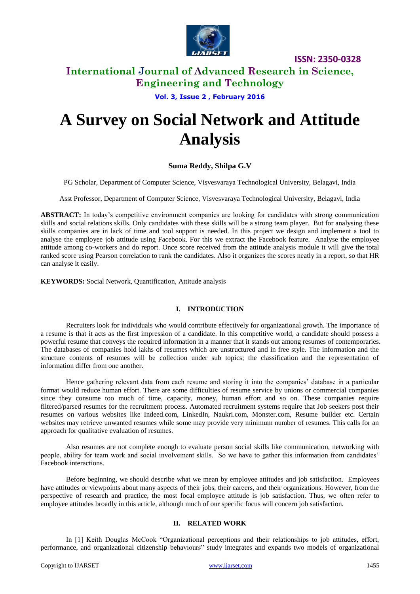

# **International Journal of Advanced Research in Science, Engineering and Technology**

**Vol. 3, Issue 2 , February 2016**

# **A Survey on Social Network and Attitude Analysis**

### **Suma Reddy, Shilpa G.V**

PG Scholar, Department of Computer Science, Visvesvaraya Technological University, Belagavi, India

Asst Professor, Department of Computer Science, Visvesvaraya Technological University, Belagavi, India

ABSTRACT: In today's competitive environment companies are looking for candidates with strong communication skills and social relations skills. Only candidates with these skills will be a strong team player. But for analysing these skills companies are in lack of time and tool support is needed. In this project we design and implement a tool to analyse the employee job attitude using Facebook. For this we extract the Facebook feature. Analyse the employee attitude among co-workers and do report. Once score received from the attitude analysis module it will give the total ranked score using Pearson correlation to rank the candidates. Also it organizes the scores neatly in a report, so that HR can analyse it easily.

**KEYWORDS:** Social Network, Quantification, Attitude analysis

#### **I. INTRODUCTION**

Recruiters look for individuals who would contribute effectively for organizational growth. The importance of a resume is that it acts as the first impression of a candidate. In this competitive world, a candidate should possess a powerful resume that conveys the required information in a manner that it stands out among resumes of contemporaries. The databases of companies hold lakhs of resumes which are unstructured and in free style. The information and the structure contents of resumes will be collection under sub topics; the classification and the representation of information differ from one another.

Hence gathering relevant data from each resume and storing it into the companies' database in a particular format would reduce human effort. There are some difficulties of resume service by unions or commercial companies since they consume too much of time, capacity, money, human effort and so on. These companies require filtered/parsed resumes for the recruitment process. Automated recruitment systems require that Job seekers post their resumes on various websites like Indeed.com, LinkedIn, Naukri.com, Monster.com, Resume builder etc. Certain websites may retrieve unwanted resumes while some may provide very minimum number of resumes. This calls for an approach for qualitative evaluation of resumes.

Also resumes are not complete enough to evaluate person social skills like communication, networking with people, ability for team work and social involvement skills. So we have to gather this information from candidates' Facebook interactions.

Before beginning, we should describe what we mean by employee attitudes and job satisfaction. Employees have attitudes or viewpoints about many aspects of their jobs, their careers, and their organizations. However, from the perspective of research and practice, the most focal employee attitude is job satisfaction. Thus, we often refer to employee attitudes broadly in this article, although much of our specific focus will concern job satisfaction.

### **II. RELATED WORK**

In [1] Keith Douglas McCook "Organizational perceptions and their relationships to job attitudes, effort, performance, and organizational citizenship behaviours" study integrates and expands two models of organizational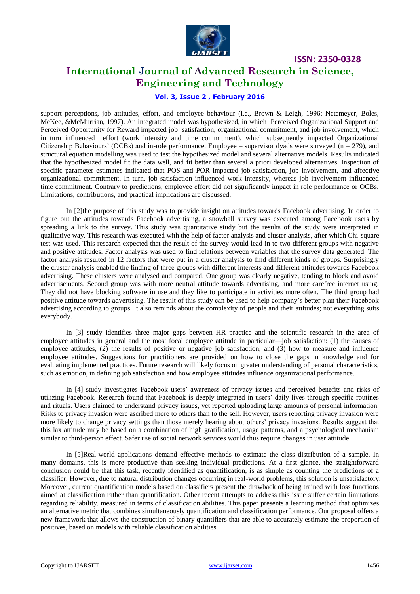

# **International Journal of Advanced Research in Science, Engineering and Technology**

#### **Vol. 3, Issue 2 , February 2016**

support perceptions, job attitudes, effort, and employee behaviour (i.e., Brown & Leigh, 1996; Netemeyer, Boles, McKee, &McMurrian, 1997). An integrated model was hypothesized, in which Perceived Organizational Support and Perceived Opportunity for Reward impacted job satisfaction, organizational commitment, and job involvement, which in turn influenced effort (work intensity and time commitment), which subsequently impacted Organizational Citizenship Behaviours' (OCBs) and in-role performance. Employee – supervisor dyads were surveyed ( $n = 279$ ), and structural equation modelling was used to test the hypothesized model and several alternative models. Results indicated that the hypothesized model fit the data well, and fit better than several a priori developed alternatives. Inspection of specific parameter estimates indicated that POS and POR impacted job satisfaction, job involvement, and affective organizational commitment. In turn, job satisfaction influenced work intensity, whereas job involvement influenced time commitment. Contrary to predictions, employee effort did not significantly impact in role performance or OCBs. Limitations, contributions, and practical implications are discussed.

In [2]the purpose of this study was to provide insight on attitudes towards Facebook advertising. In order to figure out the attitudes towards Facebook advertising, a snowball survey was executed among Facebook users by spreading a link to the survey. This study was quantitative study but the results of the study were interpreted in qualitative way. This research was executed with the help of factor analysis and cluster analysis, after which Chi-square test was used. This research expected that the result of the survey would lead in to two different groups with negative and positive attitudes. Factor analysis was used to find relations between variables that the survey data generated. The factor analysis resulted in 12 factors that were put in a cluster analysis to find different kinds of groups. Surprisingly the cluster analysis enabled the finding of three groups with different interests and different attitudes towards Facebook advertising. These clusters were analysed and compared. One group was clearly negative, tending to block and avoid advertisements. Second group was with more neutral attitude towards advertising, and more carefree internet using. They did not have blocking software in use and they like to participate in activities more often. The third group had positive attitude towards advertising. The result of this study can be used to help company's better plan their Facebook advertising according to groups. It also reminds about the complexity of people and their attitudes; not everything suits everybody.

In [3] study identifies three major gaps between HR practice and the scientific research in the area of employee attitudes in general and the most focal employee attitude in particular—job satisfaction: (1) the causes of employee attitudes, (2) the results of positive or negative job satisfaction, and (3) how to measure and influence employee attitudes. Suggestions for practitioners are provided on how to close the gaps in knowledge and for evaluating implemented practices. Future research will likely focus on greater understanding of personal characteristics, such as emotion, in defining job satisfaction and how employee attitudes influence organizational performance.

In [4] study investigates Facebook users' awareness of privacy issues and perceived benefits and risks of utilizing Facebook. Research found that Facebook is deeply integrated in users' daily lives through specific routines and rituals. Users claimed to understand privacy issues, yet reported uploading large amounts of personal information. Risks to privacy invasion were ascribed more to others than to the self. However, users reporting privacy invasion were more likely to change privacy settings than those merely hearing about others' privacy invasions. Results suggest that this lax attitude may be based on a combination of high gratification, usage patterns, and a psychological mechanism similar to third-person effect. Safer use of social network services would thus require changes in user attitude.

In [5]Real-world applications demand effective methods to estimate the class distribution of a sample. In many domains, this is more productive than seeking individual predictions. At a first glance, the straightforward conclusion could be that this task, recently identified as quantification, is as simple as counting the predictions of a classifier. However, due to natural distribution changes occurring in real-world problems, this solution is unsatisfactory. Moreover, current quantification models based on classifiers present the drawback of being trained with loss functions aimed at classification rather than quantification. Other recent attempts to address this issue suffer certain limitations regarding reliability, measured in terms of classification abilities. This paper presents a learning method that optimizes an alternative metric that combines simultaneously quantification and classification performance. Our proposal offers a new framework that allows the construction of binary quantifiers that are able to accurately estimate the proportion of positives, based on models with reliable classification abilities.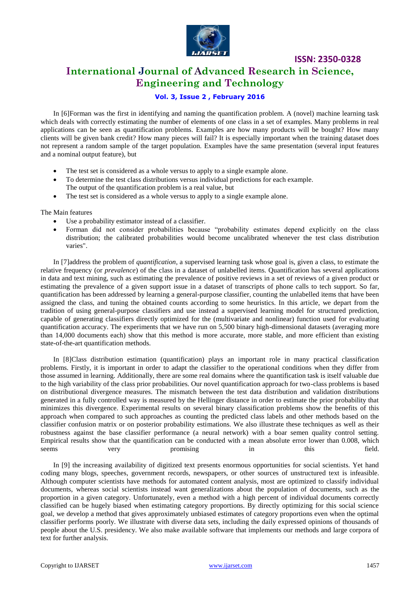

**International Journal of Advanced Research in Science, Engineering and Technology**

## **Vol. 3, Issue 2 , February 2016**

In [6]Forman was the first in identifying and naming the quantification problem. A (novel) machine learning task which deals with correctly estimating the number of elements of one class in a set of examples. Many problems in real applications can be seen as quantification problems. Examples are how many products will be bought? How many clients will be given bank credit? How many pieces will fail? It is especially important when the training dataset does not represent a random sample of the target population. Examples have the same presentation (several input features and a nominal output feature), but

- The test set is considered as a whole versus to apply to a single example alone.
- To determine the test class distributions versus individual predictions for each example. The output of the quantification problem is a real value, but
- The test set is considered as a whole versus to apply to a single example alone.

The Main features

- Use a probability estimator instead of a classifier.
- Forman did not consider probabilities because "probability estimates depend explicitly on the class distribution; the calibrated probabilities would become uncalibrated whenever the test class distribution varies".

In [7]address the problem of *quantification*, a supervised learning task whose goal is, given a class, to estimate the relative frequency (or *prevalence*) of the class in a dataset of unlabelled items. Quantification has several applications in data and text mining, such as estimating the prevalence of positive reviews in a set of reviews of a given product or estimating the prevalence of a given support issue in a dataset of transcripts of phone calls to tech support. So far, quantification has been addressed by learning a general-purpose classifier, counting the unlabelled items that have been assigned the class, and tuning the obtained counts according to some heuristics. In this article, we depart from the tradition of using general-purpose classifiers and use instead a supervised learning model for structured prediction, capable of generating classifiers directly optimized for the (multivariate and nonlinear) function used for evaluating quantification accuracy. The experiments that we have run on 5,500 binary high-dimensional datasets (averaging more than 14,000 documents each) show that this method is more accurate, more stable, and more efficient than existing state-of-the-art quantification methods.

In [8]Class distribution estimation (quantification) plays an important role in many practical classification problems. Firstly, it is important in order to adapt the classifier to the operational conditions when they differ from those assumed in learning. Additionally, there are some real domains where the quantification task is itself valuable due to the high variability of the class prior probabilities. Our novel quantification approach for two-class problems is based on distributional divergence measures. The mismatch between the test data distribution and validation distributions generated in a fully controlled way is measured by the Hellinger distance in order to estimate the prior probability that minimizes this divergence. Experimental results on several binary classification problems show the benefits of this approach when compared to such approaches as counting the predicted class labels and other methods based on the classifier confusion matrix or on posterior probability estimations. We also illustrate these techniques as well as their robustness against the base classifier performance (a neural network) with a boar semen quality control setting. Empirical results show that the quantification can be conducted with a mean absolute error lower than 0.008, which seems very promising in this field.

In [9] the increasing availability of digitized text presents enormous opportunities for social scientists. Yet hand coding many blogs, speeches, government records, newspapers, or other sources of unstructured text is infeasible. Although computer scientists have methods for automated content analysis, most are optimized to classify individual documents, whereas social scientists instead want generalizations about the population of documents, such as the proportion in a given category. Unfortunately, even a method with a high percent of individual documents correctly classified can be hugely biased when estimating category proportions. By directly optimizing for this social science goal, we develop a method that gives approximately unbiased estimates of category proportions even when the optimal classifier performs poorly. We illustrate with diverse data sets, including the daily expressed opinions of thousands of people about the U.S. presidency. We also make available software that implements our methods and large corpora of text for further analysis.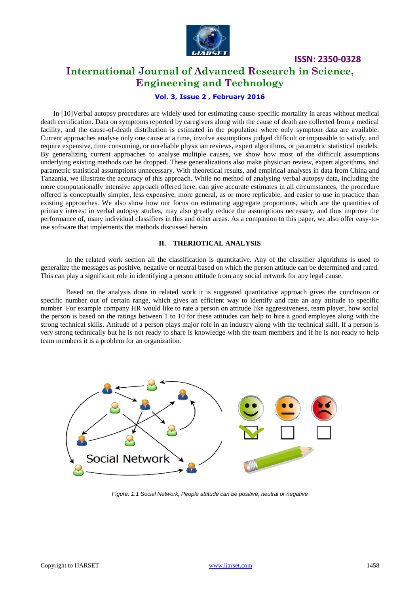

**International Journal of Advanced Research in Science, Engineering and Technology**

**ISSN: 2350-0328**

## **Vol. 3, Issue 2 , February 2016**

In [10]Verbal autopsy procedures are widely used for estimating cause-specific mortality in areas without medical death certification. Data on symptoms reported by caregivers along with the cause of death are collected from a medical facility, and the cause-of-death distribution is estimated in the population where only symptom data are available. Current approaches analyse only one cause at a time, involve assumptions judged difficult or impossible to satisfy, and require expensive, time consuming, or unreliable physician reviews, expert algorithms, or parametric statistical models. By generalizing current approaches to analyse multiple causes, we show how most of the difficult assumptions underlying existing methods can be dropped. These generalizations also make physician review, expert algorithms, and parametric statistical assumptions unnecessary. With theoretical results, and empirical analyses in data from China and Tanzania, we illustrate the accuracy of this approach. While no method of analysing verbal autopsy data, including the more computationally intensive approach offered here, can give accurate estimates in all circumstances, the procedure offered is conceptually simpler, less expensive, more general, as or more replicable, and easier to use in practice than existing approaches. We also show how our focus on estimating aggregate proportions, which are the quantities of primary interest in verbal autopsy studies, may also greatly reduce the assumptions necessary, and thus improve the performance of, many individual classifiers in this and other areas. As a companion to this paper, we also offer easy-touse software that implements the methods discussed herein.

#### **II. THERIOTICAL ANALYSIS**

In the related work section all the classification is quantitative. Any of the classifier algorithms is used to generalize the messages as positive, negative or neutral based on which the person attitude can be determined and rated. This can play a significant role in identifying a person attitude from any social network for any legal cause.

Based on the analysis done in related work it is suggested quantitative approach gives the conclusion or specific number out of certain range, which gives an efficient way to identify and rate an any attitude to specific number. For example company HR would like to rate a person on attitude like aggressiveness, team player, how social the person is based on the ratings between 1 to 10 for these attitudes can help to hire a good employee along with the strong technical skills. Attitude of a person plays major role in an industry along with the technical skill. If a person is very strong technically but he is not ready to share is knowledge with the team members and if he is not ready to help team members it is a problem for an organization.



*Figure: 1.1 Social Network, People attitude can be positive, neutral or negative*